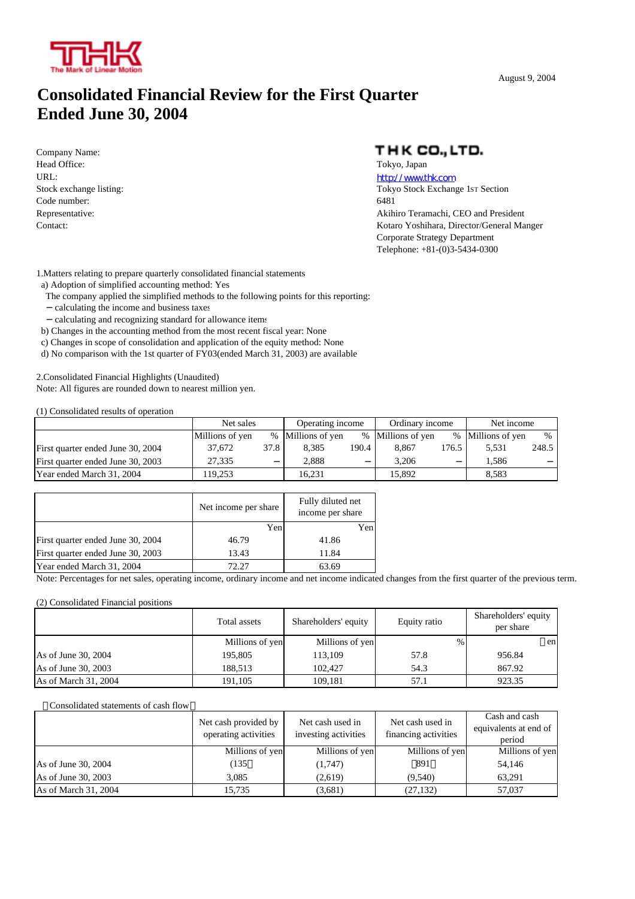

### **Consolidated Financial Review for the First Quarter Ended June 30, 2004**

Company Name: Head Office: Tokyo, Japan URL: http://www.thk.com Code number: 6481

### THK CO., LTD.

Stock exchange listing: Tokyo Stock Exchange 1sting: Tokyo Stock Exchange 1sting: Representative: Akihiro Teramachi, CEO and President Contact: Kotaro Yoshihara, Director/General Manger Corporate Strategy Department Telephone: +81-(0)3-5434-0300

1.Matters relating to prepare quarterly consolidated financial statements

a) Adoption of simplified accounting method: Yes

- The company applied the simplified methods to the following points for this reporting: calculating the income and business taxes
- calculating and recognizing standard for allowance items
- b) Changes in the accounting method from the most recent fiscal year: None
- c) Changes in scope of consolidation and application of the equity method: None
- d) No comparison with the 1st quarter of FY03(ended March 31, 2003) are available

2.Consolidated Financial Highlights (Unaudited) Note: All figures are rounded down to nearest million yen.

(1) Consolidated results of operation

|                                   | Net sales       |      | Operating income  |       | Ordinary income   |       | Net income        |       |
|-----------------------------------|-----------------|------|-------------------|-------|-------------------|-------|-------------------|-------|
|                                   | Millions of yen |      | % Millions of yen |       | % Millions of yen |       | % Millions of yen | $\%$  |
| First quarter ended June 30, 2004 | 37.672          | 37.8 | 8.385             | 190.4 | 8.867             | 176.5 | 5.531             | 248.5 |
| First quarter ended June 30, 2003 | 27.335          |      | 2.888             |       | 3.206             |       | 1.586             |       |
| Year ended March 31, 2004         | 119.253         |      | 16.231            |       | 15.892            |       | 8.583             |       |

|                                   | Net income per share | Fully diluted net<br>income per share |
|-----------------------------------|----------------------|---------------------------------------|
|                                   | Yen                  | Yen                                   |
| First quarter ended June 30, 2004 | 46.79                | 41.86                                 |
| First quarter ended June 30, 2003 | 13.43                | 11.84                                 |
| Year ended March 31, 2004         | 72.27                | 63.69                                 |

Note: Percentages for net sales, operating income, ordinary income and net income indicated changes from the first quarter of the previous term.

#### (2) Consolidated Financial positions

|                      | Total assets    | Shareholders' equity | Equity ratio | Shareholders' equity<br>per share |
|----------------------|-----------------|----------------------|--------------|-----------------------------------|
|                      | Millions of yen | Millions of yen      | $\%$         | en                                |
| As of June 30, 2004  | 195,805         | 113,109              | 57.8         | 956.84                            |
| As of June 30, 2003  | 188.513         | 102.427              | 54.3         | 867.92                            |
| As of March 31, 2004 | 191.105         | 109,181              | 57.1         | 923.35                            |

#### [ Consolidated statements of cash flow

|                      | Net cash provided by<br>operating activities | Net cash used in<br>investing activities | Net cash used in<br>financing activities | Cash and cash<br>equivalents at end of<br>period |
|----------------------|----------------------------------------------|------------------------------------------|------------------------------------------|--------------------------------------------------|
|                      | Millions of yen                              | Millions of yen                          | Millions of yen                          | Millions of yen                                  |
| As of June 30, 2004  | (135)                                        | (1,747)                                  | 891                                      | 54.146                                           |
| As of June 30, 2003  | 3.085                                        | (2,619)                                  | (9,540)                                  | 63.291                                           |
| As of March 31, 2004 | 15.735                                       | (3,681)                                  | (27, 132)                                | 57,037                                           |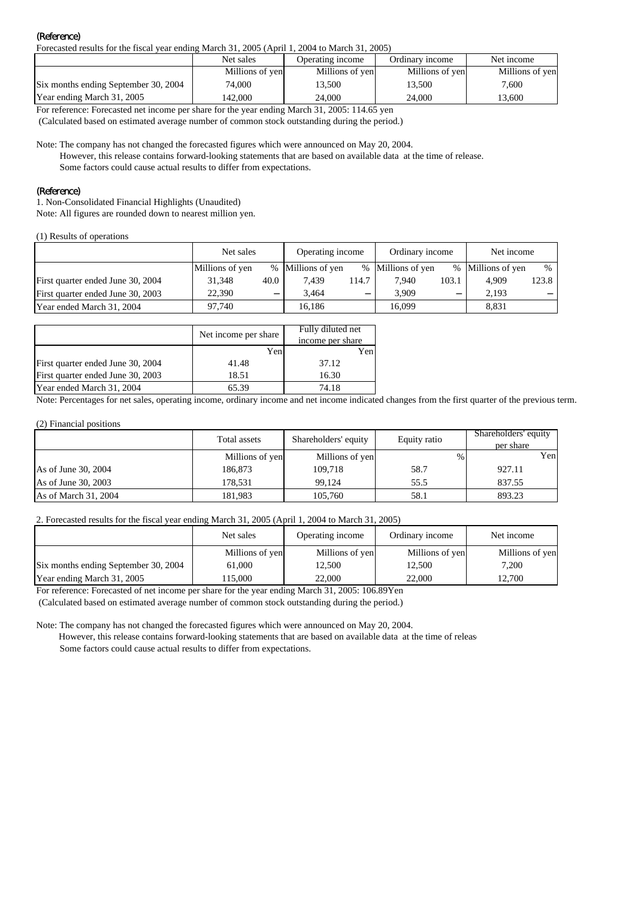#### (Reference)

Forecasted results for the fiscal year ending March 31, 2005 (April 1, 2004 to March 31, 2005)

|                                      | Net sales       | Operating income | Ordinary income | Net income      |
|--------------------------------------|-----------------|------------------|-----------------|-----------------|
|                                      | Millions of yen | Millions of yen  | Millions of yen | Millions of yen |
| Six months ending September 30, 2004 | 74,000          | 13.500           | 13.500          | 7.600           |
| Year ending March 31, 2005           | 142.000         | 24,000           | 24,000          | 13.600          |

For reference: Forecasted net income per share for the year ending March 31, 2005: 114.65 yen

(Calculated based on estimated average number of common stock outstanding during the period.)

Note: The company has not changed the forecasted figures which were announced on May 20, 2004.

 However, this release contains forward-looking statements that are based on available data at the time of release. Some factors could cause actual results to differ from expectations.

#### (Reference)

1. Non-Consolidated Financial Highlights (Unaudited)

Note: All figures are rounded down to nearest million yen.

(1) Results of operations

|                                   | Net sales       |      | Operating income  |       | Ordinary income   |       | Net income        |       |
|-----------------------------------|-----------------|------|-------------------|-------|-------------------|-------|-------------------|-------|
|                                   | Millions of yen |      | % Millions of yen |       | % Millions of yen |       | % Millions of yen | $\%$  |
| First quarter ended June 30, 2004 | 31.348          | 40.0 | 7.439             | 114.7 | 7.940             | 103.1 | 4.909             | 123.8 |
| First quarter ended June 30, 2003 | 22,390          |      | 3.464             |       | 3.909             |       | 2.193             |       |
| Year ended March 31, 2004         | 97.740          |      | 16.186            |       | 16.099            |       | 8.831             |       |

|                                   | Net income per share | Fully diluted net |
|-----------------------------------|----------------------|-------------------|
|                                   |                      | income per share  |
|                                   | Yen                  | Yen               |
| First quarter ended June 30, 2004 | 41.48                | 37.12             |
| First quarter ended June 30, 2003 | 18.51                | 16.30             |
| Year ended March 31, 2004         | 65.39                | 74.18             |

Note: Percentages for net sales, operating income, ordinary income and net income indicated changes from the first quarter of the previous term.

#### (2) Financial positions

|                      | Total assets    | Shareholders' equity | Equity ratio | Shareholders' equity<br>per share |
|----------------------|-----------------|----------------------|--------------|-----------------------------------|
|                      | Millions of yen | Millions of yen      | $\%$         | Yen                               |
| As of June 30, 2004  | 186,873         | 109.718              | 58.7         | 927.11                            |
| As of June 30, 2003  | 178.531         | 99.124               | 55.5         | 837.55                            |
| As of March 31, 2004 | 181.983         | 105,760              | 58.1         | 893.23                            |

#### 2. Forecasted results for the fiscal year ending March 31, 2005 (April 1, 2004 to March 31, 2005)

|                                      | Net sales       | Operating income | Ordinary income | Net income      |
|--------------------------------------|-----------------|------------------|-----------------|-----------------|
|                                      | Millions of yen | Millions of yen  | Millions of yen | Millions of yen |
| Six months ending September 30, 2004 | 61,000          | 12,500           | 12,500          | 7.200           |
| Year ending March 31, 2005           | 115.000         | 22,000           | 22,000          | 12,700          |

For reference: Forecasted of net income per share for the year ending March 31, 2005: 106.89Yen

(Calculated based on estimated average number of common stock outstanding during the period.)

Note: The company has not changed the forecasted figures which were announced on May 20, 2004.

 However, this release contains forward-looking statements that are based on available data at the time of release Some factors could cause actual results to differ from expectations.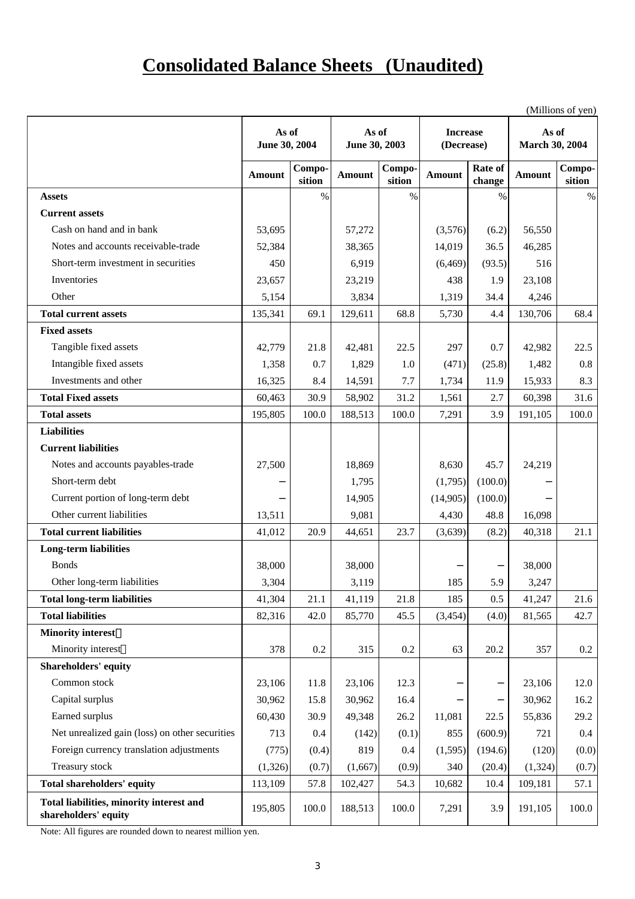### **Consolidated Balance Sheets (Unaudited)**

(Millions of yen)

|                                                                  | As of<br>June 30, 2004 |                  | As of<br>June 30, 2003 |                  | <b>Increase</b><br>(Decrease) |                   | As of<br><b>March 30, 2004</b> | ( <i>WITHORS OF YER)</i> |
|------------------------------------------------------------------|------------------------|------------------|------------------------|------------------|-------------------------------|-------------------|--------------------------------|--------------------------|
|                                                                  | <b>Amount</b>          | Compo-<br>sition | <b>Amount</b>          | Compo-<br>sition | <b>Amount</b>                 | Rate of<br>change | <b>Amount</b>                  | Compo-<br>sition         |
| <b>Assets</b>                                                    |                        | $\%$             |                        | $\%$             |                               | $\%$              |                                | $\%$                     |
| <b>Current assets</b>                                            |                        |                  |                        |                  |                               |                   |                                |                          |
| Cash on hand and in bank                                         | 53,695                 |                  | 57,272                 |                  | (3,576)                       | (6.2)             | 56,550                         |                          |
| Notes and accounts receivable-trade                              | 52,384                 |                  | 38,365                 |                  | 14,019                        | 36.5              | 46,285                         |                          |
| Short-term investment in securities                              | 450                    |                  | 6,919                  |                  | (6, 469)                      | (93.5)            | 516                            |                          |
| Inventories                                                      | 23,657                 |                  | 23,219                 |                  | 438                           | 1.9               | 23,108                         |                          |
| Other                                                            | 5,154                  |                  | 3,834                  |                  | 1,319                         | 34.4              | 4,246                          |                          |
| <b>Total current assets</b>                                      | 135,341                | 69.1             | 129,611                | 68.8             | 5,730                         | 4.4               | 130,706                        | 68.4                     |
| <b>Fixed assets</b>                                              |                        |                  |                        |                  |                               |                   |                                |                          |
| Tangible fixed assets                                            | 42,779                 | 21.8             | 42,481                 | 22.5             | 297                           | 0.7               | 42,982                         | 22.5                     |
| Intangible fixed assets                                          | 1,358                  | 0.7              | 1,829                  | 1.0              | (471)                         | (25.8)            | 1,482                          | 0.8                      |
| Investments and other                                            | 16,325                 | 8.4              | 14,591                 | 7.7              | 1,734                         | 11.9              | 15,933                         | 8.3                      |
| <b>Total Fixed assets</b>                                        | 60,463                 | 30.9             | 58,902                 | 31.2             | 1,561                         | 2.7               | 60,398                         | 31.6                     |
| <b>Total assets</b>                                              | 195,805                | 100.0            | 188,513                | 100.0            | 7,291                         | 3.9               | 191,105                        | 100.0                    |
| <b>Liabilities</b>                                               |                        |                  |                        |                  |                               |                   |                                |                          |
| <b>Current liabilities</b>                                       |                        |                  |                        |                  |                               |                   |                                |                          |
| Notes and accounts payables-trade                                | 27,500                 |                  | 18,869                 |                  | 8,630                         | 45.7              | 24,219                         |                          |
| Short-term debt                                                  |                        |                  | 1,795                  |                  | (1,795)                       | (100.0)           |                                |                          |
| Current portion of long-term debt                                |                        |                  | 14,905                 |                  | (14,905)                      | (100.0)           |                                |                          |
| Other current liabilities                                        | 13,511                 |                  | 9,081                  |                  | 4,430                         | 48.8              | 16,098                         |                          |
| <b>Total current liabilities</b>                                 | 41,012                 | 20.9             | 44,651                 | 23.7             | (3,639)                       | (8.2)             | 40,318                         | 21.1                     |
| <b>Long-term liabilities</b>                                     |                        |                  |                        |                  |                               |                   |                                |                          |
| <b>Bonds</b>                                                     | 38,000                 |                  | 38,000                 |                  |                               |                   | 38,000                         |                          |
| Other long-term liabilities                                      | 3,304                  |                  | 3,119                  |                  | 185                           | 5.9               | 3,247                          |                          |
| <b>Total long-term liabilities</b>                               | 41,304                 | 21.1             | 41,119                 | 21.8             | 185                           | 0.5               | 41,247                         | 21.6                     |
| <b>Total liabilities</b>                                         | 82,316                 | 42.0             | 85,770                 | 45.5             | (3, 454)                      | (4.0)             | 81,565                         | 42.7                     |
| <b>Minority interest</b>                                         |                        |                  |                        |                  |                               |                   |                                |                          |
| Minority interest                                                | 378                    | 0.2              | 315                    | 0.2              | 63                            | 20.2              | 357                            | 0.2                      |
| <b>Shareholders' equity</b>                                      |                        |                  |                        |                  |                               |                   |                                |                          |
| Common stock                                                     | 23,106                 | 11.8             | 23,106                 | 12.3             |                               |                   | 23,106                         | 12.0                     |
| Capital surplus                                                  | 30,962                 | 15.8             | 30,962                 | 16.4             |                               |                   | 30,962                         | 16.2                     |
| Earned surplus                                                   | 60,430                 | 30.9             | 49,348                 | 26.2             | 11,081                        | 22.5              | 55,836                         | 29.2                     |
| Net unrealized gain (loss) on other securities                   | 713                    | 0.4              | (142)                  | (0.1)            | 855                           | (600.9)           | 721                            | 0.4                      |
| Foreign currency translation adjustments                         | (775)                  | (0.4)            | 819                    | 0.4              | (1,595)                       | (194.6)           | (120)                          | (0.0)                    |
| Treasury stock                                                   | (1,326)                | (0.7)            | (1,667)                | (0.9)            | 340                           | (20.4)            | (1, 324)                       | (0.7)                    |
| <b>Total shareholders' equity</b>                                | 113,109                | 57.8             | 102,427                | 54.3             | 10,682                        | 10.4              | 109,181                        | 57.1                     |
| Total liabilities, minority interest and<br>shareholders' equity | 195,805                | 100.0            | 188,513                | 100.0            | 7,291                         | 3.9               | 191,105                        | 100.0                    |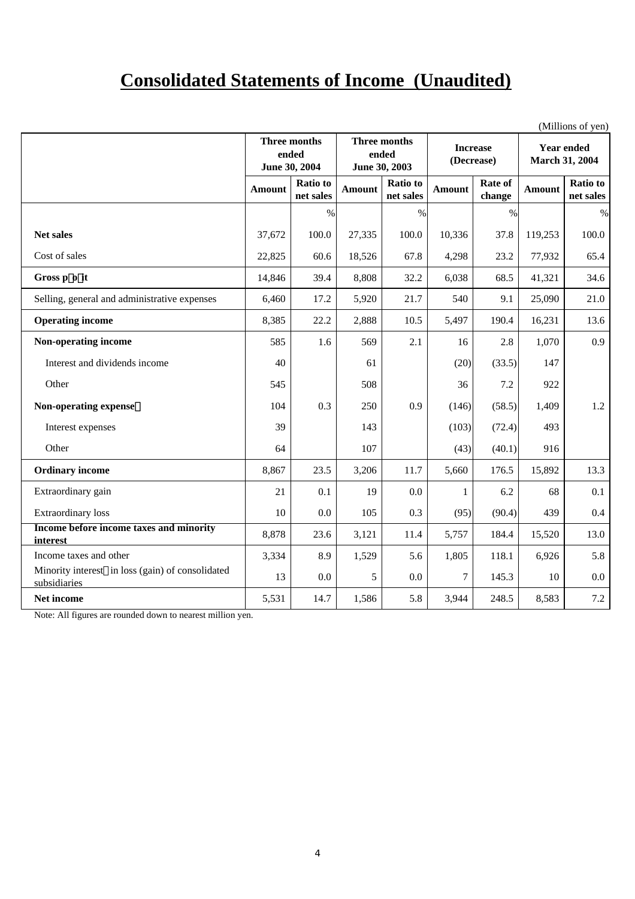### **Consolidated Statements of Income (Unaudited)**

|                                                                  |        |                        |                        |                 |                 |        |                       | (Millions of yen) |
|------------------------------------------------------------------|--------|------------------------|------------------------|-----------------|-----------------|--------|-----------------------|-------------------|
|                                                                  |        | Three months           |                        | Three months    | <b>Increase</b> |        |                       | <b>Year ended</b> |
|                                                                  |        | ended<br>June 30, 2004 | ended<br>June 30, 2003 |                 | (Decrease)      |        | <b>March 31, 2004</b> |                   |
|                                                                  |        | <b>Ratio</b> to        |                        | <b>Ratio</b> to | Rate of         |        |                       | <b>Ratio</b> to   |
|                                                                  | Amount | net sales              | Amount                 | net sales       | Amount          | change | Amount                | net sales         |
|                                                                  |        | $\%$                   |                        | $\%$            |                 | $\%$   |                       | $\%$              |
| <b>Net sales</b>                                                 | 37,672 | 100.0                  | 27,335                 | 100.0           | 10,336          | 37.8   | 119,253               | 100.0             |
| Cost of sales                                                    | 22,825 | 60.6                   | 18,526                 | 67.8            | 4,298           | 23.2   | 77,932                | 65.4              |
| Gross p o it                                                     | 14,846 | 39.4                   | 8,808                  | 32.2            | 6,038           | 68.5   | 41,321                | 34.6              |
| Selling, general and administrative expenses                     | 6,460  | 17.2                   | 5,920                  | 21.7            | 540             | 9.1    | 25,090                | 21.0              |
| <b>Operating income</b>                                          | 8,385  | 22.2                   | 2,888                  | 10.5            | 5,497           | 190.4  | 16,231                | 13.6              |
| Non-operating income                                             | 585    | 1.6                    | 569                    | 2.1             | 16              | 2.8    | 1,070                 | 0.9               |
| Interest and dividends income                                    | 40     |                        | 61                     |                 | (20)            | (33.5) | 147                   |                   |
| Other                                                            | 545    |                        | 508                    |                 | 36              | 7.2    | 922                   |                   |
| Non-operating expense                                            | 104    | 0.3                    | 250                    | 0.9             | (146)           | (58.5) | 1,409                 | 1.2               |
| Interest expenses                                                | 39     |                        | 143                    |                 | (103)           | (72.4) | 493                   |                   |
| Other                                                            | 64     |                        | 107                    |                 | (43)            | (40.1) | 916                   |                   |
| <b>Ordinary income</b>                                           | 8,867  | 23.5                   | 3,206                  | 11.7            | 5,660           | 176.5  | 15,892                | 13.3              |
| Extraordinary gain                                               | 21     | 0.1                    | 19                     | 0.0             | $\mathbf{1}$    | 6.2    | 68                    | 0.1               |
| <b>Extraordinary</b> loss                                        | 10     | 0.0                    | 105                    | 0.3             | (95)            | (90.4) | 439                   | 0.4               |
| Income before income taxes and minority<br>interest              | 8,878  | 23.6                   | 3,121                  | 11.4            | 5,757           | 184.4  | 15,520                | 13.0              |
| Income taxes and other                                           | 3,334  | 8.9                    | 1,529                  | 5.6             | 1,805           | 118.1  | 6,926                 | 5.8               |
| Minority interest in loss (gain) of consolidated<br>subsidiaries | 13     | 0.0                    | 5                      | 0.0             | $\tau$          | 145.3  | 10                    | 0.0               |
| Net income                                                       | 5,531  | 14.7                   | 1,586                  | 5.8             | 3,944           | 248.5  | 8,583                 | 7.2               |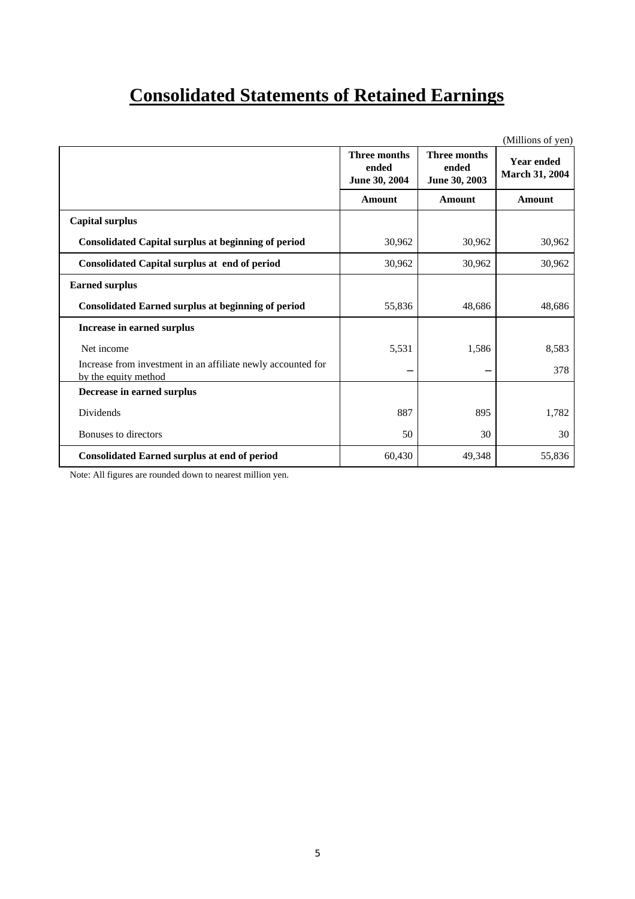## **Consolidated Statements of Retained Earnings**

|                                                                                      |                                               |                                               | (Millions of yen)                   |
|--------------------------------------------------------------------------------------|-----------------------------------------------|-----------------------------------------------|-------------------------------------|
|                                                                                      | <b>Three months</b><br>ended<br>June 30, 2004 | <b>Three months</b><br>ended<br>June 30, 2003 | <b>Year ended</b><br>March 31, 2004 |
|                                                                                      | <b>Amount</b>                                 | <b>Amount</b>                                 | <b>Amount</b>                       |
| <b>Capital surplus</b>                                                               |                                               |                                               |                                     |
| <b>Consolidated Capital surplus at beginning of period</b>                           | 30,962                                        | 30,962                                        | 30,962                              |
| <b>Consolidated Capital surplus at end of period</b>                                 | 30,962                                        | 30,962                                        | 30,962                              |
| <b>Earned surplus</b>                                                                |                                               |                                               |                                     |
| <b>Consolidated Earned surplus at beginning of period</b>                            | 55,836                                        | 48,686                                        | 48,686                              |
| Increase in earned surplus                                                           |                                               |                                               |                                     |
| Net income                                                                           | 5,531                                         | 1,586                                         | 8,583                               |
| Increase from investment in an affiliate newly accounted for<br>by the equity method |                                               |                                               | 378                                 |
| Decrease in earned surplus                                                           |                                               |                                               |                                     |
| Dividends                                                                            | 887                                           | 895                                           | 1,782                               |
| Bonuses to directors                                                                 | 50                                            | 30                                            | 30                                  |
| <b>Consolidated Earned surplus at end of period</b>                                  | 60,430                                        | 49,348                                        | 55,836                              |